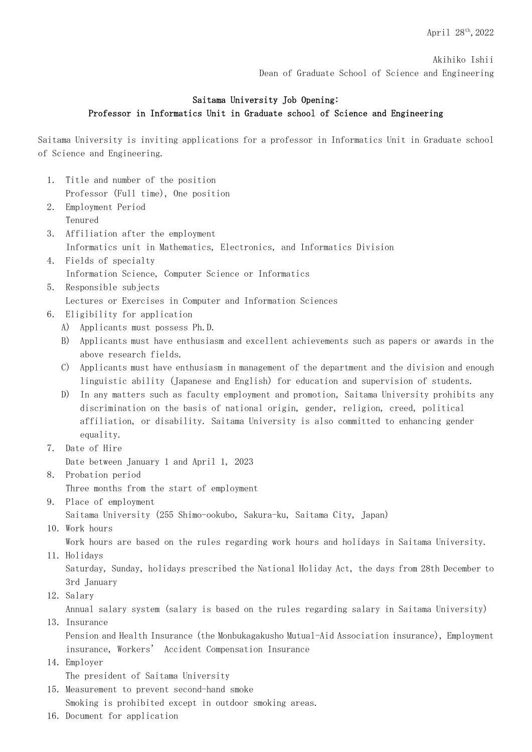Akihiko Ishii Dean of Graduate School of Science and Engineering

## Saitama University Job Opening: Professor in Informatics Unit in Graduate school of Science and Engineering

Saitama University is inviting applications for a professor in Informatics Unit in Graduate school of Science and Engineering.

- 1. Title and number of the position Professor (Full time), One position
- 2. Employment Period Tenured
- 3. Affiliation after the employment Informatics unit in Mathematics, Electronics, and Informatics Division
- 4. Fields of specialty Information Science, Computer Science or Informatics
- 5. Responsible subjects Lectures or Exercises in Computer and Information Sciences
- 6. Eligibility for application
	- A) Applicants must possess Ph.D.
	- B) Applicants must have enthusiasm and excellent achievements such as papers or awards in the above research fields.
	- C) Applicants must have enthusiasm in management of the department and the division and enough linguistic ability (Japanese and English) for education and supervision of students.
	- D) In any matters such as faculty employment and promotion, Saitama University prohibits any discrimination on the basis of national origin, gender, religion, creed, political affiliation, or disability. Saitama University is also committed to enhancing gender equality.
- 7. Date of Hire

Date between January 1 and April 1, 2023

- 8. Probation period Three months from the start of employment
- 9. Place of employment

Saitama University (255 Shimo-ookubo, Sakura-ku, Saitama City, Japan)

10. Work hours

Work hours are based on the rules regarding work hours and holidays in Saitama University.

11. Holidays

Saturday, Sunday, holidays prescribed the National Holiday Act, the days from 28th December to 3rd January

12. Salary

Annual salary system (salary is based on the rules regarding salary in Saitama University)

13. Insurance

Pension and Health Insurance (the Monbukagakusho Mutual-Aid Association insurance), Employment insurance, Workers' Accident Compensation Insurance

14.Employer

The president of Saitama University

- 15.Measurement to prevent second-hand smoke Smoking is prohibited except in outdoor smoking areas.
- 16.Document for application